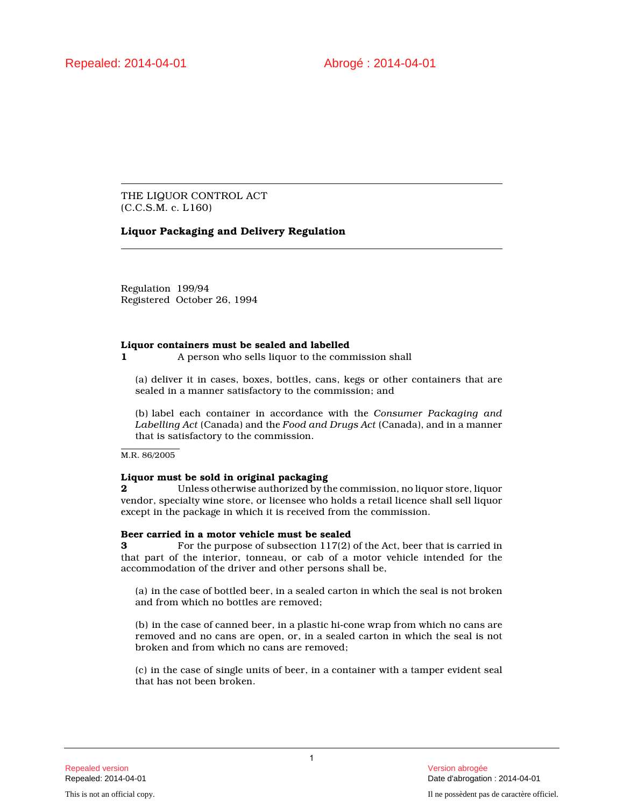THE LIQUOR CONTROL ACT (C.C.S.M. c. L160)

# **Liquor Packaging and Delivery Regulation**

Regulation 199/94 Registered October 26, 1994

## **Liquor containers must be sealed and labelled**

**1** A person who sells liquor to the commission shall

(a) deliver it in cases, boxes, bottles, cans, kegs or other containers that are sealed in a manner satisfactory to the commission; and

(b) label each container in accordance with the *Consumer Packaging and Labelling Act* (Canada) and the *Food and Drugs Act* (Canada), and in a manner that is satisfactory to the commission.

M.R. 86/2005

## **Liquor must be sold in original packaging**

**2** Unless otherwise authorized by the commission, no liquor store, liquor vendor, specialty wine store, or licensee who holds a retail licence shall sell liquor except in the package in which it is received from the commission.

## **Beer carried in a motor vehicle must be sealed**

**3** For the purpose of subsection 117(2) of the Act, beer that is carried in that part of the interior, tonneau, or cab of a motor vehicle intended for the accommodation of the driver and other persons shall be,

(a) in the case of bottled beer, in a sealed carton in which the seal is not broken and from which no bottles are removed;

(b) in the case of canned beer, in a plastic hi-cone wrap from which no cans are removed and no cans are open, or, in a sealed carton in which the seal is not broken and from which no cans are removed;

(c) in the case of single units of beer, in a container with a tamper evident seal that has not been broken.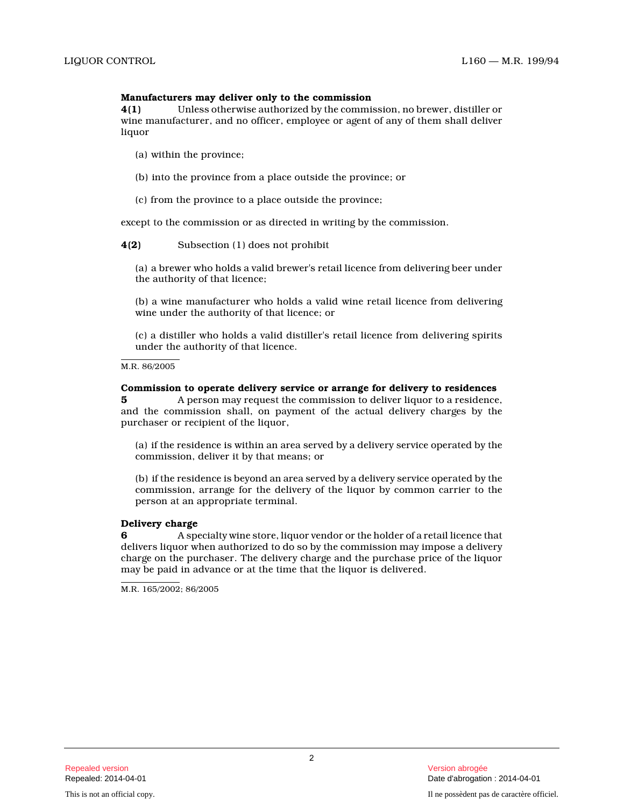#### **Manufacturers may deliver only to the commission**

**4(1)** Unless otherwise authorized by the commission, no brewer, distiller or wine manufacturer, and no officer, employee or agent of any of them shall deliver liquor

- (a) within the province;
- (b) into the province from a place outside the province; or
- (c) from the province to a place outside the province;

except to the commission or as directed in writing by the commission.

**4(2)** Subsection (1) does not prohibit

(a) a brewer who holds a valid brewer's retail licence from delivering beer under the authority of that licence;

(b) a wine manufacturer who holds a valid wine retail licence from delivering wine under the authority of that licence; or

(c) a distiller who holds a valid distiller's retail licence from delivering spirits under the authority of that licence.

M.R. 86/2005

#### **Commission to operate delivery service or arrange for delivery to residences**

**5** A person may request the commission to deliver liquor to a residence, and the commission shall, on payment of the actual delivery charges by the purchaser or recipient of the liquor,

(a) if the residence is within an area served by a delivery service operated by the commission, deliver it by that means; or

(b) if the residence is beyond an area served by a delivery service operated by the commission, arrange for the delivery of the liquor by common carrier to the person at an appropriate terminal.

## **Delivery charge**

**6** A specialty wine store, liquor vendor or the holder of a retail licence that delivers liquor when authorized to do so by the commission may impose a delivery charge on the purchaser. The delivery charge and the purchase price of the liquor may be paid in advance or at the time that the liquor is delivered.

M.R. 165/2002; 86/2005